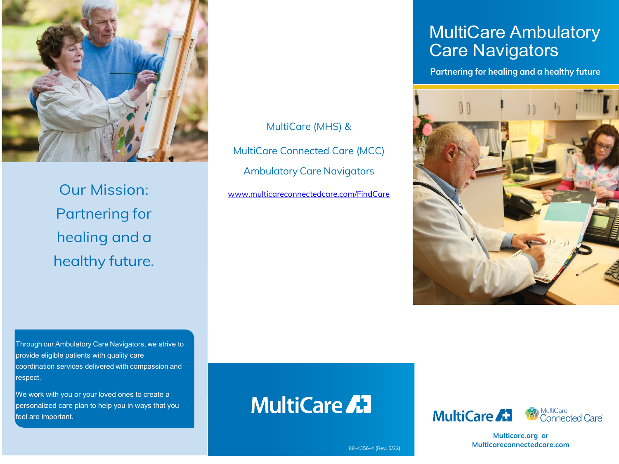

Our Mission: Partnering for healing and a healthy future.

Through our Ambulatory Care Navigators, we strive to provide eligible patients with quality care coordination services delivered with compassion and respect.

We work with you or your loved ones to create a personalized care plan to help you in ways that you feel are important.

MultiCare (MHS) & MultiCare Connected Care (MCC) Ambulatory Care Navigators [www.multicareconnectedcare.com/FindCare](http://www.multicareconnectedcare.com/FindCare)

## MultiCare Ambulatory Care Navigators

**Partnering for healing and a healthy future**



# **MultiCare AT**





**Multicare.org or Multicareconnectedcare.com**

88-4356-4 (Rev. 5/22)